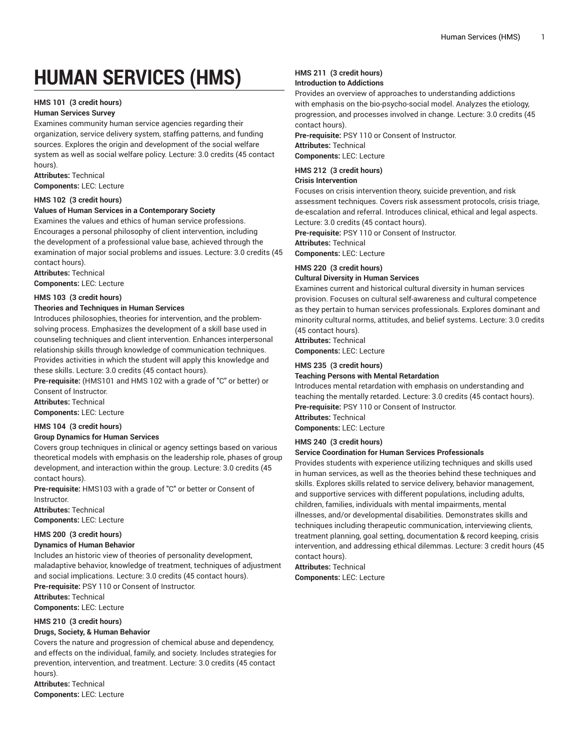# **HUMAN SERVICES (HMS)**

### **HMS 101 (3 credit hours)**

### **Human Services Survey**

Examines community human service agencies regarding their organization, service delivery system, staffing patterns, and funding sources. Explores the origin and development of the social welfare system as well as social welfare policy. Lecture: 3.0 credits (45 contact hours).

**Attributes:** Technical

**Components:** LEC: Lecture

### **HMS 102 (3 credit hours)**

### **Values of Human Services in a Contemporary Society**

Examines the values and ethics of human service professions. Encourages a personal philosophy of client intervention, including the development of a professional value base, achieved through the examination of major social problems and issues. Lecture: 3.0 credits (45 contact hours).

**Attributes:** Technical

**Components:** LEC: Lecture

### **HMS 103 (3 credit hours)**

### **Theories and Techniques in Human Services**

Introduces philosophies, theories for intervention, and the problemsolving process. Emphasizes the development of a skill base used in counseling techniques and client intervention. Enhances interpersonal relationship skills through knowledge of communication techniques. Provides activities in which the student will apply this knowledge and these skills. Lecture: 3.0 credits (45 contact hours).

**Pre-requisite:** (HMS101 and HMS 102 with a grade of "C" or better) or Consent of Instructor.

**Attributes:** Technical

**Components:** LEC: Lecture

### **HMS 104 (3 credit hours)**

### **Group Dynamics for Human Services**

Covers group techniques in clinical or agency settings based on various theoretical models with emphasis on the leadership role, phases of group development, and interaction within the group. Lecture: 3.0 credits (45 contact hours).

**Pre-requisite:** HMS103 with a grade of "C" or better or Consent of Instructor.

**Attributes:** Technical **Components:** LEC: Lecture

### **HMS 200 (3 credit hours)**

### **Dynamics of Human Behavior**

Includes an historic view of theories of personality development, maladaptive behavior, knowledge of treatment, techniques of adjustment and social implications. Lecture: 3.0 credits (45 contact hours). **Pre-requisite:** PSY 110 or Consent of Instructor.

**Attributes:** Technical

**Components:** LEC: Lecture

### **HMS 210 (3 credit hours)**

### **Drugs, Society, & Human Behavior**

Covers the nature and progression of chemical abuse and dependency, and effects on the individual, family, and society. Includes strategies for prevention, intervention, and treatment. Lecture: 3.0 credits (45 contact hours).

**Attributes:** Technical **Components:** LEC: Lecture

## **HMS 211 (3 credit hours)**

### **Introduction to Addictions**

Provides an overview of approaches to understanding addictions with emphasis on the bio-psycho-social model. Analyzes the etiology, progression, and processes involved in change. Lecture: 3.0 credits (45 contact hours).

**Pre-requisite:** PSY 110 or Consent of Instructor.

**Attributes:** Technical

**Components:** LEC: Lecture

### **HMS 212 (3 credit hours)**

### **Crisis Intervention**

Focuses on crisis intervention theory, suicide prevention, and risk assessment techniques. Covers risk assessment protocols, crisis triage, de-escalation and referral. Introduces clinical, ethical and legal aspects. Lecture: 3.0 credits (45 contact hours).

**Pre-requisite:** PSY 110 or Consent of Instructor.

**Attributes:** Technical

### **Components:** LEC: Lecture **HMS 220 (3 credit hours)**

### **Cultural Diversity in Human Services**

Examines current and historical cultural diversity in human services provision. Focuses on cultural self-awareness and cultural competence as they pertain to human services professionals. Explores dominant and minority cultural norms, attitudes, and belief systems. Lecture: 3.0 credits (45 contact hours).

**Attributes:** Technical

### **Components:** LEC: Lecture

### **HMS 235 (3 credit hours)**

### **Teaching Persons with Mental Retardation**

Introduces mental retardation with emphasis on understanding and teaching the mentally retarded. Lecture: 3.0 credits (45 contact hours). **Pre-requisite:** PSY 110 or Consent of Instructor.

**Attributes:** Technical

**Components:** LEC: Lecture

### **HMS 240 (3 credit hours)**

### **Service Coordination for Human Services Professionals**

Provides students with experience utilizing techniques and skills used in human services, as well as the theories behind these techniques and skills. Explores skills related to service delivery, behavior management, and supportive services with different populations, including adults, children, families, individuals with mental impairments, mental illnesses, and/or developmental disabilities. Demonstrates skills and techniques including therapeutic communication, interviewing clients, treatment planning, goal setting, documentation & record keeping, crisis intervention, and addressing ethical dilemmas. Lecture: 3 credit hours (45 contact hours).

**Attributes:** Technical **Components:** LEC: Lecture